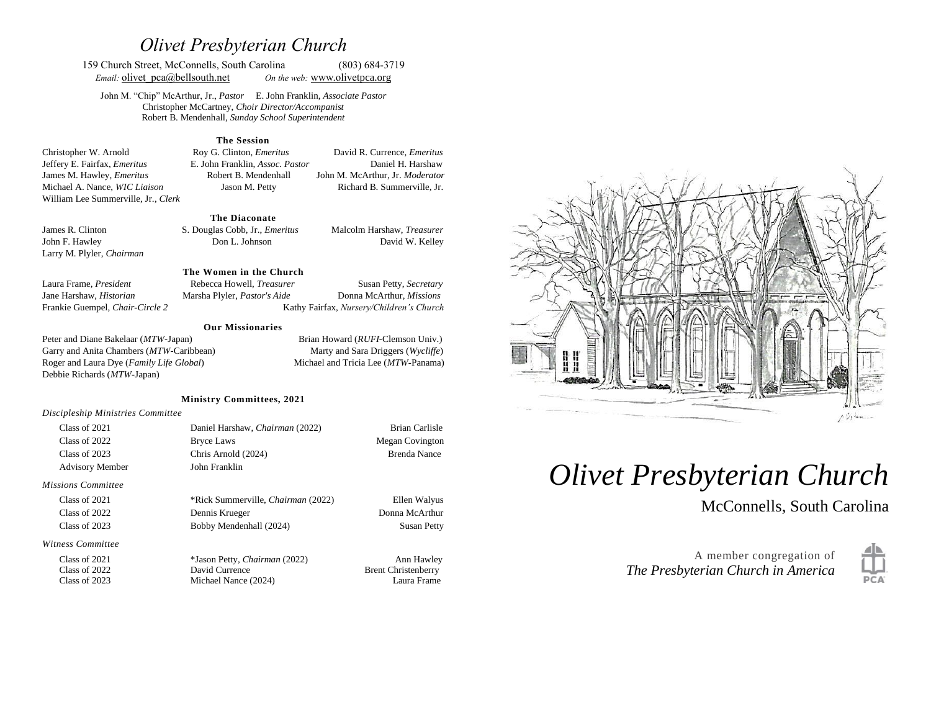# *Olivet Presbyterian Church*

159 Church Street, McConnells, South Carolina (803) 684-3719 *Email:* **olivet**  $pca@bellsouth.net$  *On the web:* [www.olivetp](http://www.olivet/)ca.org

John M. "Chip" McArthur, Jr., *Pastor* E. John Franklin, *Associate Pastor* Christopher McCartney, *Choir Director/Accompanist* Robert B. Mendenhall, *Sunday School Superintendent*

#### **The Session**

Christopher W. Arnold Roy G. Clinton, *Emeritus* David R. Currence, *Emeritus* Jeffery E. Fairfax, *Emeritus* E. John Franklin, *Assoc. Pastor* Daniel H. Harshaw James M. Hawley, *Emeritus* Robert B. Mendenhall John M. McArthur, Jr. *Moderator* Michael A. Nance, *WIC Liaison* Jason M. Petty Richard B. Summerville, Jr. William Lee Summerville, Jr., *Clerk*

#### **The Diaconate**

Larry M. Plyler, *Chairman* 

James R. Clinton S. Douglas Cobb, Jr., *Emeritus* Malcolm Harshaw, *Treasurer* John F. Hawley Don L. Johnson David W. Kelley

#### **The Women in the Church**

**Our Missionaries**

Laura Frame, *President* Rebecca Howell, *Treasurer* Susan Petty, *Secretary*  Jane Harshaw, *Historian* Marsha Plyler, *Pastor's Aide* Donna McArthur, *Missions* Frankie Guempel, *Chair-Circle 2* Kathy Fairfax, *Nursery/Children's Church*

Peter and Diane Bakelaar (*MTW*-Japan) Brian Howard (*RUFI*-Clemson Univ.) Garry and Anita Chambers (*MTW*-Caribbean) Marty and Sara Driggers (*Wycliffe*) Roger and Laura Dye (*Family Life Global*) Michael and Tricia Lee (*MTW*-Panama) Debbie Richards (*MTW*-Japan)

#### **Ministry Committees, 2021**

*Discipleship Ministries Committee*

| Class of 2021          | Daniel Harshaw, Chairman (2022)           | <b>Brian Carlisle</b>  |
|------------------------|-------------------------------------------|------------------------|
| Class of 2022          | <b>Bryce Laws</b>                         | <b>Megan Covington</b> |
| Class of 2023          | Chris Arnold (2024)                       | Brenda Nance           |
| <b>Advisory Member</b> | John Franklin                             |                        |
| Missions Committee     |                                           |                        |
| Class of 2021          | *Rick Summerville, <i>Chairman</i> (2022) | Ellen Walyus           |
| Class of 2022          | Dennis Krueger                            | Donna McArthur         |

Class of 2023 Bobby Mendenhall (2024) Susan Petty

*Witness Committee*

Class of 2021 \*Jason Petty, *Chairman* (2022) Ann Hawley<br>Class of 2022 David Currence Brent Christenberry Class of 2022 David Currence Brent Christenberry<br>
Class of 2023 Michael Nance (2024) Laura Frame Michael Nance (2024) Laura Frame



# *Olivet Presbyterian Church*

McConnells, South Carolina

A member congregation of *The Presbyterian Church in America*

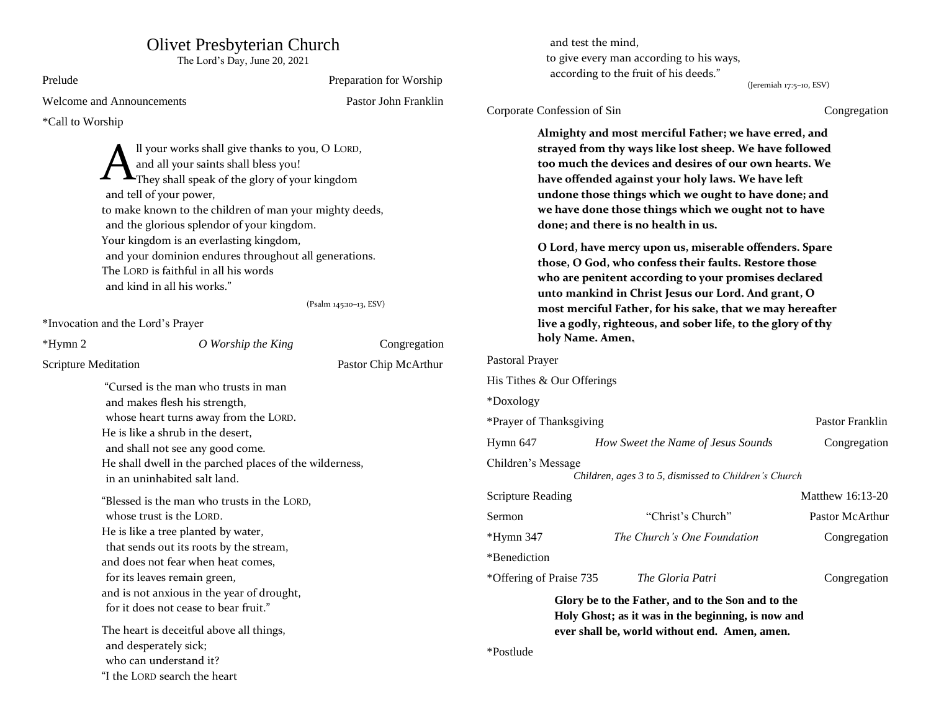## Olivet Presbyterian Church

The Lord's Day, June 20, 2021

| Prelude                                                                                                                                                                                                                                                                                                                                                                                                                                                                      |  | Preparation for Worship                                                                                                                                                                                                                                                                                                                                                                                                                                                                                                                                                                                                                                                  |                                         |                                                       | according to the fruit of his deeds.                                                                                      | (Jeremiah 17:5-10, ESV) |
|------------------------------------------------------------------------------------------------------------------------------------------------------------------------------------------------------------------------------------------------------------------------------------------------------------------------------------------------------------------------------------------------------------------------------------------------------------------------------|--|--------------------------------------------------------------------------------------------------------------------------------------------------------------------------------------------------------------------------------------------------------------------------------------------------------------------------------------------------------------------------------------------------------------------------------------------------------------------------------------------------------------------------------------------------------------------------------------------------------------------------------------------------------------------------|-----------------------------------------|-------------------------------------------------------|---------------------------------------------------------------------------------------------------------------------------|-------------------------|
| <b>Welcome and Announcements</b>                                                                                                                                                                                                                                                                                                                                                                                                                                             |  | Pastor John Franklin                                                                                                                                                                                                                                                                                                                                                                                                                                                                                                                                                                                                                                                     |                                         |                                                       |                                                                                                                           |                         |
| *Call to Worship<br>Il your works shall give thanks to you, O LORD,<br>and all your saints shall bless you!<br>They shall speak of the glory of your kingdom<br>and tell of your power,<br>to make known to the children of man your mighty deeds,<br>and the glorious splendor of your kingdom.<br>Your kingdom is an everlasting kingdom,<br>and your dominion endures throughout all generations.<br>The LORD is faithful in all his words<br>and kind in all his works." |  | Corporate Confession of Sin<br>Congregation<br>Almighty and most merciful Father; we have erred, and<br>strayed from thy ways like lost sheep. We have followed<br>too much the devices and desires of our own hearts. We<br>have offended against your holy laws. We have left<br>undone those things which we ought to have done; and<br>we have done those things which we ought not to have<br>done; and there is no health in us.<br>O Lord, have mercy upon us, miserable offenders. Spare<br>those, O God, who confess their faults. Restore those<br>who are penitent according to your promises declared<br>unto mankind in Christ Jesus our Lord. And grant, O |                                         |                                                       |                                                                                                                           |                         |
| *Invocation and the Lord's Prayer                                                                                                                                                                                                                                                                                                                                                                                                                                            |  | (Psalm 145:10-13, ESV)                                                                                                                                                                                                                                                                                                                                                                                                                                                                                                                                                                                                                                                   |                                         |                                                       | most merciful Father, for his sake, that we may hereafter<br>live a godly, righteous, and sober life, to the glory of thy |                         |
| O Worship the King<br>*Hymn 2                                                                                                                                                                                                                                                                                                                                                                                                                                                |  | Congregation                                                                                                                                                                                                                                                                                                                                                                                                                                                                                                                                                                                                                                                             |                                         | holy Name. Amen.                                      |                                                                                                                           |                         |
| Scripture Meditation                                                                                                                                                                                                                                                                                                                                                                                                                                                         |  | Pastor Chip McArthur                                                                                                                                                                                                                                                                                                                                                                                                                                                                                                                                                                                                                                                     | Pastoral Prayer                         |                                                       |                                                                                                                           |                         |
| "Cursed is the man who trusts in man                                                                                                                                                                                                                                                                                                                                                                                                                                         |  |                                                                                                                                                                                                                                                                                                                                                                                                                                                                                                                                                                                                                                                                          | His Tithes & Our Offerings<br>*Doxology |                                                       |                                                                                                                           |                         |
| and makes flesh his strength,                                                                                                                                                                                                                                                                                                                                                                                                                                                |  |                                                                                                                                                                                                                                                                                                                                                                                                                                                                                                                                                                                                                                                                          |                                         |                                                       |                                                                                                                           |                         |
| whose heart turns away from the LORD.<br>He is like a shrub in the desert,                                                                                                                                                                                                                                                                                                                                                                                                   |  | *Prayer of Thanksgiving<br>Pastor Franklin                                                                                                                                                                                                                                                                                                                                                                                                                                                                                                                                                                                                                               |                                         |                                                       |                                                                                                                           |                         |
|                                                                                                                                                                                                                                                                                                                                                                                                                                                                              |  |                                                                                                                                                                                                                                                                                                                                                                                                                                                                                                                                                                                                                                                                          |                                         |                                                       |                                                                                                                           |                         |
| and shall not see any good come.                                                                                                                                                                                                                                                                                                                                                                                                                                             |  |                                                                                                                                                                                                                                                                                                                                                                                                                                                                                                                                                                                                                                                                          | Hymn 647                                |                                                       | How Sweet the Name of Jesus Sounds                                                                                        | Congregation            |
| He shall dwell in the parched places of the wilderness,<br>in an uninhabited salt land.                                                                                                                                                                                                                                                                                                                                                                                      |  | Children's Message                                                                                                                                                                                                                                                                                                                                                                                                                                                                                                                                                                                                                                                       |                                         | Children, ages 3 to 5, dismissed to Children's Church |                                                                                                                           |                         |
| "Blessed is the man who trusts in the LORD,                                                                                                                                                                                                                                                                                                                                                                                                                                  |  |                                                                                                                                                                                                                                                                                                                                                                                                                                                                                                                                                                                                                                                                          | <b>Scripture Reading</b>                |                                                       |                                                                                                                           | Matthew 16:13-20        |
| whose trust is the LORD.<br>He is like a tree planted by water,<br>that sends out its roots by the stream,<br>and does not fear when heat comes,<br>for its leaves remain green,<br>and is not anxious in the year of drought,<br>for it does not cease to bear fruit."<br>The heart is deceitful above all things,<br>and desperately sick;<br>who can understand it?                                                                                                       |  | Sermon                                                                                                                                                                                                                                                                                                                                                                                                                                                                                                                                                                                                                                                                   |                                         | "Christ's Church"                                     | Pastor McArthur                                                                                                           |                         |
|                                                                                                                                                                                                                                                                                                                                                                                                                                                                              |  |                                                                                                                                                                                                                                                                                                                                                                                                                                                                                                                                                                                                                                                                          |                                         | The Church's One Foundation                           | Congregation                                                                                                              |                         |
|                                                                                                                                                                                                                                                                                                                                                                                                                                                                              |  | $*Hymn 347$                                                                                                                                                                                                                                                                                                                                                                                                                                                                                                                                                                                                                                                              |                                         |                                                       |                                                                                                                           |                         |
|                                                                                                                                                                                                                                                                                                                                                                                                                                                                              |  | *Benediction                                                                                                                                                                                                                                                                                                                                                                                                                                                                                                                                                                                                                                                             |                                         |                                                       |                                                                                                                           |                         |
|                                                                                                                                                                                                                                                                                                                                                                                                                                                                              |  | *Offering of Praise 735                                                                                                                                                                                                                                                                                                                                                                                                                                                                                                                                                                                                                                                  |                                         | The Gloria Patri                                      | Congregation                                                                                                              |                         |
|                                                                                                                                                                                                                                                                                                                                                                                                                                                                              |  |                                                                                                                                                                                                                                                                                                                                                                                                                                                                                                                                                                                                                                                                          |                                         | Glory be to the Father, and to the Son and to the     |                                                                                                                           |                         |
|                                                                                                                                                                                                                                                                                                                                                                                                                                                                              |  | Holy Ghost; as it was in the beginning, is now and                                                                                                                                                                                                                                                                                                                                                                                                                                                                                                                                                                                                                       |                                         |                                                       |                                                                                                                           |                         |
|                                                                                                                                                                                                                                                                                                                                                                                                                                                                              |  |                                                                                                                                                                                                                                                                                                                                                                                                                                                                                                                                                                                                                                                                          |                                         | ever shall be, world without end. Amen, amen.         |                                                                                                                           |                         |
|                                                                                                                                                                                                                                                                                                                                                                                                                                                                              |  |                                                                                                                                                                                                                                                                                                                                                                                                                                                                                                                                                                                                                                                                          |                                         |                                                       |                                                                                                                           |                         |
|                                                                                                                                                                                                                                                                                                                                                                                                                                                                              |  | *Postlude                                                                                                                                                                                                                                                                                                                                                                                                                                                                                                                                                                                                                                                                |                                         |                                                       |                                                                                                                           |                         |
| "I the LORD search the heart                                                                                                                                                                                                                                                                                                                                                                                                                                                 |  |                                                                                                                                                                                                                                                                                                                                                                                                                                                                                                                                                                                                                                                                          |                                         |                                                       |                                                                                                                           |                         |

and test the mind,

to give every man according to his ways,